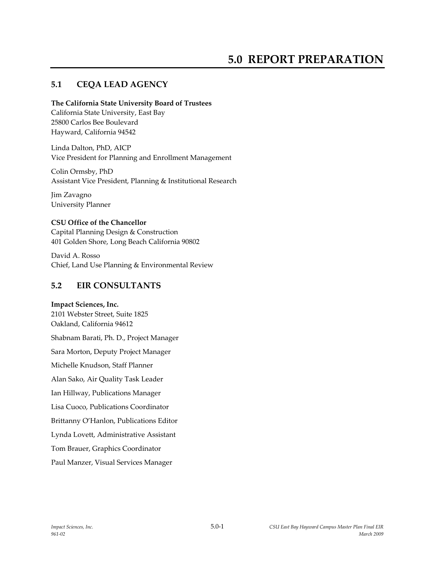# **5.0 REPORT PREPARATION**

## **5.1 CEQA LEAD AGENCY**

#### **The California State University Board of Trustees**

California State University, East Bay 25800 Carlos Bee Boulevard Hayward, California 94542

Linda Dalton, PhD, AICP Vice President for Planning and Enrollment Management

Colin Ormsby, PhD Assistant Vice President, Planning & Institutional Research

Jim Zavagno University Planner

#### **CSU Office of the Chancellor**

Capital Planning Design & Construction 401 Golden Shore, Long Beach California 90802

David A. Rosso Chief, Land Use Planning & Environmental Review

## **5.2 EIR CONSULTANTS**

#### **Impact Sciences, Inc.**

2101 Webster Street, Suite 1825 Oakland, California 94612 Shabnam Barati, Ph. D., Project Manager Sara Morton, Deputy Project Manager Michelle Knudson, Staff Planner Alan Sako, Air Quality Task Leader Ian Hillway, Publications Manager Lisa Cuoco, Publications Coordinator Brittanny O'Hanlon, Publications Editor Lynda Lovett, Administrative Assistant Tom Brauer, Graphics Coordinator Paul Manzer, Visual Services Manager